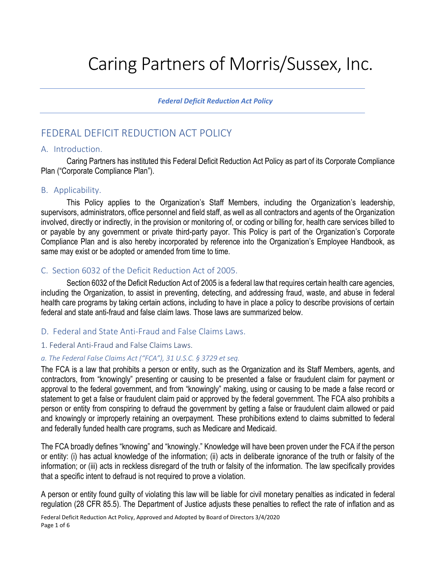# Caring Partners of Morris/Sussex, Inc.

*Federal Deficit Reduction Act Policy*

# FEDERAL DEFICIT REDUCTION ACT POLICY

#### A. Introduction.

Caring Partners has instituted this Federal Deficit Reduction Act Policy as part of its Corporate Compliance Plan ("Corporate Compliance Plan").

# B. Applicability.

This Policy applies to the Organization's Staff Members, including the Organization's leadership, supervisors, administrators, office personnel and field staff, as well as all contractors and agents of the Organization involved, directly or indirectly, in the provision or monitoring of, or coding or billing for, health care services billed to or payable by any government or private third-party payor. This Policy is part of the Organization's Corporate Compliance Plan and is also hereby incorporated by reference into the Organization's Employee Handbook, as same may exist or be adopted or amended from time to time.

# C. Section 6032 of the Deficit Reduction Act of 2005.

Section 6032 of the Deficit Reduction Act of 2005 is a federal law that requires certain health care agencies, including the Organization, to assist in preventing, detecting, and addressing fraud, waste, and abuse in federal health care programs by taking certain actions, including to have in place a policy to describe provisions of certain federal and state anti-fraud and false claim laws. Those laws are summarized below.

# D. Federal and State Anti-Fraud and False Claims Laws.

#### 1. Federal Anti-Fraud and False Claims Laws.

#### *a. The Federal False Claims Act ("FCA"), 31 U.S.C. § 3729 et seq.*

The FCA is a law that prohibits a person or entity, such as the Organization and its Staff Members, agents, and contractors, from "knowingly" presenting or causing to be presented a false or fraudulent claim for payment or approval to the federal government, and from "knowingly" making, using or causing to be made a false record or statement to get a false or fraudulent claim paid or approved by the federal government. The FCA also prohibits a person or entity from conspiring to defraud the government by getting a false or fraudulent claim allowed or paid and knowingly or improperly retaining an overpayment. These prohibitions extend to claims submitted to federal and federally funded health care programs, such as Medicare and Medicaid.

The FCA broadly defines "knowing" and "knowingly." Knowledge will have been proven under the FCA if the person or entity: (i) has actual knowledge of the information; (ii) acts in deliberate ignorance of the truth or falsity of the information; or (iii) acts in reckless disregard of the truth or falsity of the information. The law specifically provides that a specific intent to defraud is not required to prove a violation.

A person or entity found guilty of violating this law will be liable for civil monetary penalties as indicated in federal regulation (28 CFR 85.5). The Department of Justice adjusts these penalties to reflect the rate of inflation and as

Federal Deficit Reduction Act Policy, Approved and Adopted by Board of Directors 3/4/2020 Page 1 of 6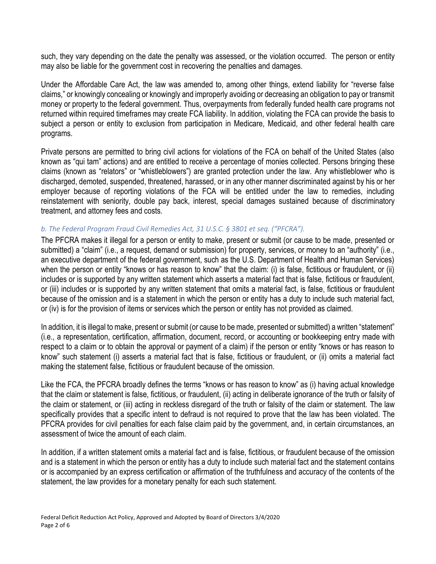such, they vary depending on the date the penalty was assessed, or the violation occurred. The person or entity may also be liable for the government cost in recovering the penalties and damages.

Under the Affordable Care Act, the law was amended to, among other things, extend liability for "reverse false claims," or knowingly concealing or knowingly and improperly avoiding or decreasing an obligation to pay or transmit money or property to the federal government. Thus, overpayments from federally funded health care programs not returned within required timeframes may create FCA liability. In addition, violating the FCA can provide the basis to subject a person or entity to exclusion from participation in Medicare, Medicaid, and other federal health care programs.

Private persons are permitted to bring civil actions for violations of the FCA on behalf of the United States (also known as "qui tam" actions) and are entitled to receive a percentage of monies collected. Persons bringing these claims (known as "relators" or "whistleblowers") are granted protection under the law. Any whistleblower who is discharged, demoted, suspended, threatened, harassed, or in any other manner discriminated against by his or her employer because of reporting violations of the FCA will be entitled under the law to remedies, including reinstatement with seniority, double pay back, interest, special damages sustained because of discriminatory treatment, and attorney fees and costs.

#### *b. The Federal Program Fraud Civil Remedies Act, 31 U.S.C. § 3801 et seq. ("PFCRA").*

The PFCRA makes it illegal for a person or entity to make, present or submit (or cause to be made, presented or submitted) a "claim" (i.e., a request, demand or submission) for property, services, or money to an "authority" (i.e., an executive department of the federal government, such as the U.S. Department of Health and Human Services) when the person or entity "knows or has reason to know" that the claim: (i) is false, fictitious or fraudulent, or (ii) includes or is supported by any written statement which asserts a material fact that is false, fictitious or fraudulent, or (iii) includes or is supported by any written statement that omits a material fact, is false, fictitious or fraudulent because of the omission and is a statement in which the person or entity has a duty to include such material fact, or (iv) is for the provision of items or services which the person or entity has not provided as claimed.

In addition, it is illegal to make, present or submit (or cause to be made, presented or submitted) a written "statement" (i.e., a representation, certification, affirmation, document, record, or accounting or bookkeeping entry made with respect to a claim or to obtain the approval or payment of a claim) if the person or entity "knows or has reason to know" such statement (i) asserts a material fact that is false, fictitious or fraudulent, or (ii) omits a material fact making the statement false, fictitious or fraudulent because of the omission.

Like the FCA, the PFCRA broadly defines the terms "knows or has reason to know" as (i) having actual knowledge that the claim or statement is false, fictitious, or fraudulent, (ii) acting in deliberate ignorance of the truth or falsity of the claim or statement, or (iii) acting in reckless disregard of the truth or falsity of the claim or statement. The law specifically provides that a specific intent to defraud is not required to prove that the law has been violated. The PFCRA provides for civil penalties for each false claim paid by the government, and, in certain circumstances, an assessment of twice the amount of each claim.

In addition, if a written statement omits a material fact and is false, fictitious, or fraudulent because of the omission and is a statement in which the person or entity has a duty to include such material fact and the statement contains or is accompanied by an express certification or affirmation of the truthfulness and accuracy of the contents of the statement, the law provides for a monetary penalty for each such statement.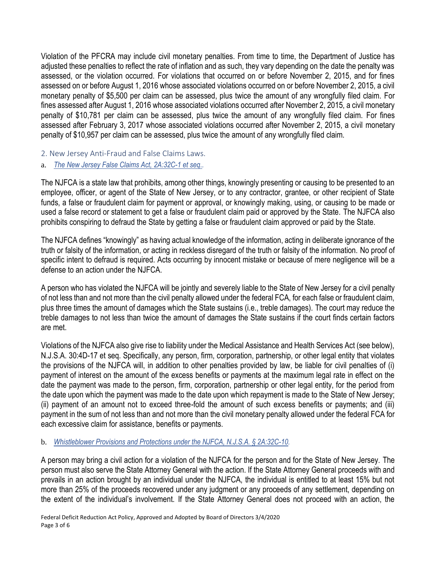Violation of the PFCRA may include civil monetary penalties. From time to time, the Department of Justice has adjusted these penalties to reflect the rate of inflation and as such, they vary depending on the date the penalty was assessed, or the violation occurred. For violations that occurred on or before November 2, 2015, and for fines assessed on or before August 1, 2016 whose associated violations occurred on or before November 2, 2015, a civil monetary penalty of \$5,500 per claim can be assessed, plus twice the amount of any wrongfully filed claim. For fines assessed after August 1, 2016 whose associated violations occurred after November 2, 2015, a civil monetary penalty of \$10,781 per claim can be assessed, plus twice the amount of any wrongfully filed claim. For fines assessed after February 3, 2017 whose associated violations occurred after November 2, 2015, a civil monetary penalty of \$10,957 per claim can be assessed, plus twice the amount of any wrongfully filed claim.

- 2. New Jersey Anti-Fraud and False Claims Laws.
- a. *The New Jersey False Claims Act, 2A:32C-1 et seq..*

The NJFCA is a state law that prohibits, among other things, knowingly presenting or causing to be presented to an employee, officer, or agent of the State of New Jersey, or to any contractor, grantee, or other recipient of State funds, a false or fraudulent claim for payment or approval, or knowingly making, using, or causing to be made or used a false record or statement to get a false or fraudulent claim paid or approved by the State. The NJFCA also prohibits conspiring to defraud the State by getting a false or fraudulent claim approved or paid by the State.

The NJFCA defines "knowingly" as having actual knowledge of the information, acting in deliberate ignorance of the truth or falsity of the information, or acting in reckless disregard of the truth or falsity of the information. No proof of specific intent to defraud is required. Acts occurring by innocent mistake or because of mere negligence will be a defense to an action under the NJFCA.

A person who has violated the NJFCA will be jointly and severely liable to the State of New Jersey for a civil penalty of not less than and not more than the civil penalty allowed under the federal FCA, for each false or fraudulent claim, plus three times the amount of damages which the State sustains (i.e., treble damages). The court may reduce the treble damages to not less than twice the amount of damages the State sustains if the court finds certain factors are met.

Violations of the NJFCA also give rise to liability under the Medical Assistance and Health Services Act (see below), N.J.S.A. 30:4D-17 et seq. Specifically, any person, firm, corporation, partnership, or other legal entity that violates the provisions of the NJFCA will, in addition to other penalties provided by law, be liable for civil penalties of (i) payment of interest on the amount of the excess benefits or payments at the maximum legal rate in effect on the date the payment was made to the person, firm, corporation, partnership or other legal entity, for the period from the date upon which the payment was made to the date upon which repayment is made to the State of New Jersey; (ii) payment of an amount not to exceed three-fold the amount of such excess benefits or payments; and (iii) payment in the sum of not less than and not more than the civil monetary penalty allowed under the federal FCA for each excessive claim for assistance, benefits or payments.

# b. *Whistleblower Provisions and Protections under the NJFCA, N.J.S.A. § 2A:32C-10.*

A person may bring a civil action for a violation of the NJFCA for the person and for the State of New Jersey. The person must also serve the State Attorney General with the action. If the State Attorney General proceeds with and prevails in an action brought by an individual under the NJFCA, the individual is entitled to at least 15% but not more than 25% of the proceeds recovered under any judgment or any proceeds of any settlement, depending on the extent of the individual's involvement. If the State Attorney General does not proceed with an action, the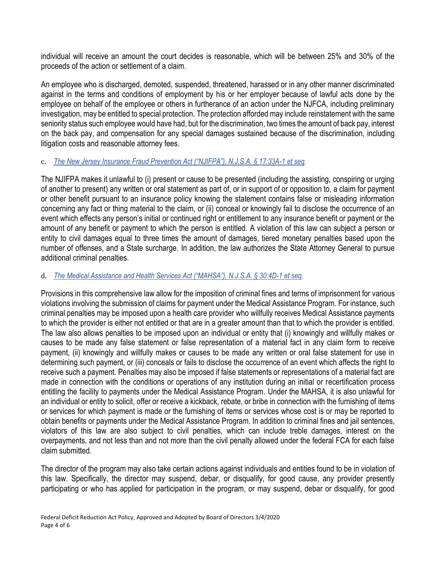individual will receive an amount the court decides is reasonable, which will be between 25% and 30% of the proceeds of the action or settlement of a claim.

An employee who is discharged, demoted, suspended, threatened, harassed or in any other manner discriminated against in the terms and conditions of employment by his or her employer because of lawful acts done by the employee on behalf of the employee or others in furtherance of an action under the NJFCA, including preliminary investigation, may be entitled to special protection. The protection afforded may include reinstatement with the same seniority status such employee would have had, but for the discrimination, two times the amount of back pay, interest on the back pay, and compensation for any special damages sustained because of the discrimination, including litigation costs and reasonable attorney fees.

# c. *The New Jersey Insurance Fraud Prevention Act ("NJIFPA"), N.J.S.A. § 17:33A-1 et seq.*

The NJIFPA makes it unlawful to (i) present or cause to be presented (including the assisting, conspiring or urging of another to present) any written or oral statement as part of, or in support of or opposition to, a claim for payment or other benefit pursuant to an insurance policy knowing the statement contains false or misleading information concerning any fact or thing material to the claim, or (ii) conceal or knowingly fail to disclose the occurrence of an event which effects any person's initial or continued right or entitlement to any insurance benefit or payment or the amount of any benefit or payment to which the person is entitled. A violation of this law can subject a person or entity to civil damages equal to three times the amount of damages, tiered monetary penalties based upon the number of offenses, and a State surcharge. In addition, the law authorizes the State Attorney General to pursue additional criminal penalties.

#### d. *The Medical Assistance and Health Services Act ("MAHSA"), N.J.S.A. § 30:4D-1 et seq.*

Provisions in this comprehensive law allow for the imposition of criminal fines and terms of imprisonment for various violations involving the submission of claims for payment under the Medical Assistance Program. For instance, such criminal penalties may be imposed upon a health care provider who willfully receives Medical Assistance payments to which the provider is either not entitled or that are in a greater amount than that to which the provider is entitled. The law also allows penalties to be imposed upon an individual or entity that (i) knowingly and willfully makes or causes to be made any false statement or false representation of a material fact in any claim form to receive payment, (ii) knowingly and willfully makes or causes to be made any written or oral false statement for use in determining such payment, or (iii) conceals or fails to disclose the occurrence of an event which affects the right to receive such a payment. Penalties may also be imposed if false statements or representations of a material fact are made in connection with the conditions or operations of any institution during an initial or recertification process entitling the facility to payments under the Medical Assistance Program. Under the MAHSA, it is also unlawful for an individual or entity to solicit, offer or receive a kickback, rebate, or bribe in connection with the furnishing of items or services for which payment is made or the furnishing of items or services whose cost is or may be reported to obtain benefits or payments under the Medical Assistance Program. In addition to criminal fines and jail sentences, violators of this law are also subject to civil penalties, which can include treble damages, interest on the overpayments, and not less than and not more than the civil penalty allowed under the federal FCA for each false claim submitted.

The director of the program may also take certain actions against individuals and entities found to be in violation of this law. Specifically, the director may suspend, debar, or disqualify, for good cause, any provider presently participating or who has applied for participation in the program, or may suspend, debar or disqualify, for good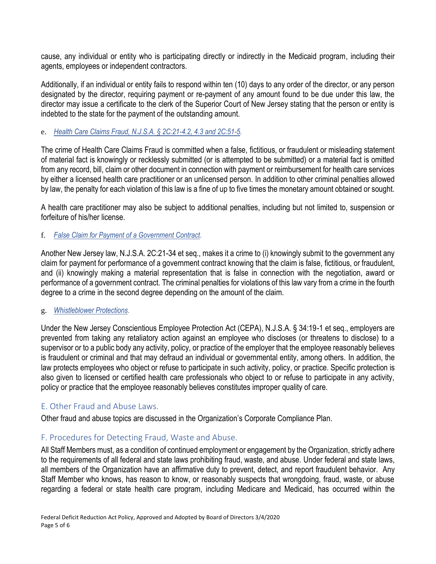cause, any individual or entity who is participating directly or indirectly in the Medicaid program, including their agents, employees or independent contractors.

Additionally, if an individual or entity fails to respond within ten (10) days to any order of the director, or any person designated by the director, requiring payment or re-payment of any amount found to be due under this law, the director may issue a certificate to the clerk of the Superior Court of New Jersey stating that the person or entity is indebted to the state for the payment of the outstanding amount.

### e. *Health Care Claims Fraud, N.J.S.A. § 2C:21-4.2, 4.3 and 2C:51-5.*

The crime of Health Care Claims Fraud is committed when a false, fictitious, or fraudulent or misleading statement of material fact is knowingly or recklessly submitted (or is attempted to be submitted) or a material fact is omitted from any record, bill, claim or other document in connection with payment or reimbursement for health care services by either a licensed health care practitioner or an unlicensed person. In addition to other criminal penalties allowed by law, the penalty for each violation of this law is a fine of up to five times the monetary amount obtained or sought.

A health care practitioner may also be subject to additional penalties, including but not limited to, suspension or forfeiture of his/her license.

#### f. *False Claim for Payment of a Government Contract.*

Another New Jersey law, N.J.S.A. 2C:21-34 et seq., makes it a crime to (i) knowingly submit to the government any claim for payment for performance of a government contract knowing that the claim is false, fictitious, or fraudulent, and (ii) knowingly making a material representation that is false in connection with the negotiation, award or performance of a government contract. The criminal penalties for violations of this law vary from a crime in the fourth degree to a crime in the second degree depending on the amount of the claim.

#### g. *Whistleblower Protections.*

Under the New Jersey Conscientious Employee Protection Act (CEPA), N.J.S.A. § 34:19-1 et seq., employers are prevented from taking any retaliatory action against an employee who discloses (or threatens to disclose) to a supervisor or to a public body any activity, policy, or practice of the employer that the employee reasonably believes is fraudulent or criminal and that may defraud an individual or governmental entity, among others. In addition, the law protects employees who object or refuse to participate in such activity, policy, or practice. Specific protection is also given to licensed or certified health care professionals who object to or refuse to participate in any activity, policy or practice that the employee reasonably believes constitutes improper quality of care.

# E. Other Fraud and Abuse Laws.

Other fraud and abuse topics are discussed in the Organization's Corporate Compliance Plan.

# F. Procedures for Detecting Fraud, Waste and Abuse.

All Staff Members must, as a condition of continued employment or engagement by the Organization, strictly adhere to the requirements of all federal and state laws prohibiting fraud, waste, and abuse. Under federal and state laws, all members of the Organization have an affirmative duty to prevent, detect, and report fraudulent behavior. Any Staff Member who knows, has reason to know, or reasonably suspects that wrongdoing, fraud, waste, or abuse regarding a federal or state health care program, including Medicare and Medicaid, has occurred within the